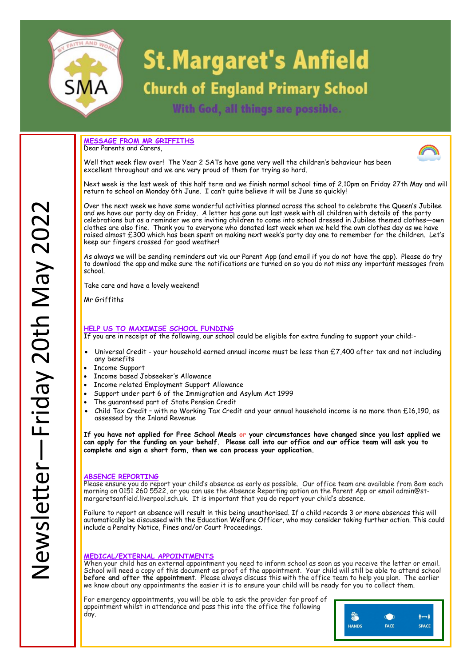

# **St. Margaret's Anfield**

## **Church of England Primary School**

With God, all things are possible.

**MESSAGE FROM MR GRIFFITHS** Dear Parents and Carers



Well that week flew over! The Year 2 SATs have gone very well the children's behaviour has been excellent throughout and we are very proud of them for trying so hard.

Next week is the last week of this half term and we finish normal school time of 2.10pm on Friday 27th May and will return to school on Monday 6th June. I can't quite believe it will be June so quickly!

Over the next week we have some wonderful activities planned across the school to celebrate the Queen's Jubilee and we have our party day on Friday. A letter has gone out last week with all children with details of the party celebrations but as a reminder we are inviting children to come into school dressed in Jubilee themed clothes—own clothes are also fine. Thank you to everyone who donated last week when we held the own clothes day as we have raised almost £300 which has been spent on making next week's party day one to remember for the children. Let's keep our fingers crossed for good weather!

As always we will be sending reminders out via our Parent App (and email if you do not have the app). Please do try to download the app and make sure the notifications are turned on so you do not miss any important messages from school.

Take care and have a lovely weekend!

Mr Griffiths

#### **HELP US TO MAXIMISE SCHOOL FUNDING**

If you are in receipt of the following, our school could be eligible for extra funding to support your child:-

- Universal Credit your household earned annual income must be less than £7,400 after tax and not including any benefits
- Income Support
- Income based Jobseeker's Allowance
- Income related Employment Support Allowance
- Support under part 6 of the Immigration and Asylum Act 1999
- The guaranteed part of State Pension Credit
- Child Tax Credit with no Working Tax Credit and your annual household income is no more than £16,190, as assessed by the Inland Revenue

**If you have not applied for Free School Meals or your circumstances have changed since you last applied we can apply for the funding on your behalf. Please call into our office and our office team will ask you to complete and sign a short form, then we can process your application.**

#### **ABSENCE REPORTING**

Please ensure you do report your child's absence as early as possible. Our office team are available from 8am each morning on 0151 260 5522, or you can use the Absence Reporting option on the Parent App or email admin@stmargaretsanfield.liverpool.sch.uk. It is important that you do report your child's absence.

Failure to report an absence will result in this being unauthorised. If a child records 3 or more absences this will automatically be discussed with the Education Welfare Officer, who may consider taking further action. This could include a Penalty Notice, Fines and/or Court Proceedings.

#### **MEDICAL/EXTERNAL APPOINTMENTS**

When your child has an external appointment you need to inform school as soon as you receive the letter or email. School will need a copy of this document as proof of the appointment. Your child will still be able to attend school **before and after the appointment**. Please always discuss this with the office team to help you plan. The earlier we know about any appointments the easier it is to ensure your child will be ready for you to collect them.

For emergency appointments, you will be able to ask the provider for proof of appointment whilst in attendance and pass this into the office the following day.

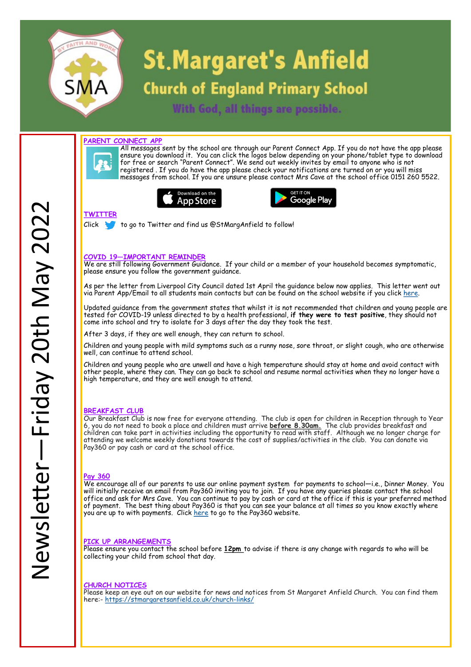

# **St. Margaret's Anfield**

## **Church of England Primary School**

With God, all things are possible.

#### **PARENT CONNECT APP**



All messages sent by the school are through our Parent Connect App. If you do not have the app please ensure you download it. You can click the logos below depending on your phone/tablet type to download for free or search "Parent Connect". We send out weekly invites by email to anyone who is not registered . If you do have the app please check your notifications are turned on or you will miss messages from school. If you are unsure please contact Mrs Cave at the school office 0151 260 5522.





#### **TWITTER**

Click to go to Twitter and find us @StMargAnfield to follow!

#### **COVID 19—IMPORTANT REMINDER**

We are still following Government Guidance. If your child or a member of your household becomes symptomatic, please ensure you follow the government guidance.

As per the letter from Liverpool City Council dated 1st April the guidance below now applies. This letter went out via Parent App/Email to all students main contacts but can be found on the school website if you click [here.](http://stmargaretsanfield.co.uk/wp-content/uploads/2022/04/End-of-testing-letter-to-parents-April-22-v3.pdf)

We encourage all of our parents to use our online payment system for payments to school—i.e., Dinner Money. You will initially receive an email from Pay360 inviting you to join. If you have any queries please contact the school office and ask for Mrs Cave. You can continue to pay by cash or card at the office if this is your preferred method of payment. The best thing about Pay360 is that you can see your balance at all times so you know exactly where you are up to with payments. Click [here](https://www.pay360educationpayments.com/Home/For-Parents) to go to the Pay360 website.

Updated guidance from the government states that whilst it is not recommended that children and young people are tested for COVID-19 unless directed to by a health professional, **if they were to test positive**, they should not come into school and try to isolate for 3 days after the day they took the test.

After 3 days, if they are well enough, they can return to school.

Children and young people with mild symptoms such as a runny nose, sore throat, or slight cough, who are otherwise well, can continue to attend school.

Children and young people who are unwell and have a high temperature should stay at home and avoid contact with other people, where they can. They can go back to school and resume normal activities when they no longer have a high temperature, and they are well enough to attend.

#### **BREAKFAST CLUB**

Our Breakfast Club is now free for everyone attending. The club is open for children in Reception through to Year 6, you do not need to book a place and children must arrive **before 8.30am.** The club provides breakfast and children can take part in activities including the opportunity to read with staff. Although we no longer charge for attending we welcome weekly donations towards the cost of supplies/activities in the club. You can donate via Pay360 or pay cash or card at the school office.

#### **Pay 360**

#### **PICK UP ARRANGEMENTS**

Please ensure you contact the school before **12pm** to advise if there is any change with regards to who will be collecting your child from school that day.

#### **CHURCH NOTICES**

Please keep an eye out on our website for news and notices from St Margaret Anfield Church. You can find them here:- [https://stmargaretsanfield.co.uk/church](https://stmargaretsanfield.co.uk/church-links/)-links/